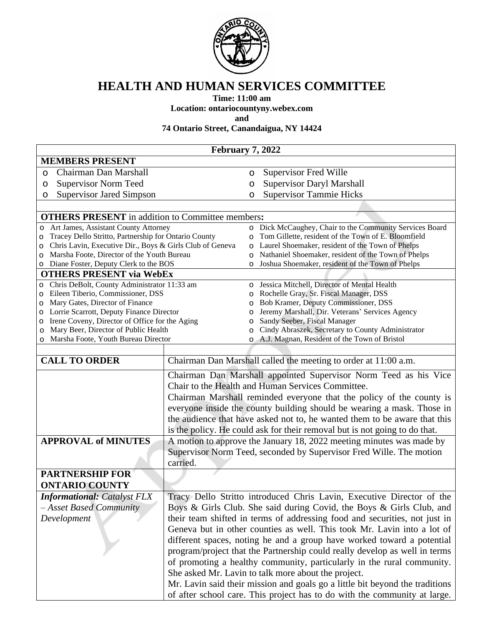

## **HEALTH AND HUMAN SERVICES COMMITTEE**

**Time: 11:00 am**

**Location: ontariocountyny.webex.com**

**and**

**74 Ontario Street, Canandaigua, NY 14424**

| February 7, 2022                                                                 |                                                                            |                    |                                                                                                         |  |
|----------------------------------------------------------------------------------|----------------------------------------------------------------------------|--------------------|---------------------------------------------------------------------------------------------------------|--|
| <b>MEMBERS PRESENT</b>                                                           |                                                                            |                    |                                                                                                         |  |
| Chairman Dan Marshall<br>$\circ$                                                 |                                                                            | O                  | <b>Supervisor Fred Wille</b>                                                                            |  |
| <b>Supervisor Norm Teed</b><br>O                                                 |                                                                            | $\circ$            | <b>Supervisor Daryl Marshall</b>                                                                        |  |
| <b>Supervisor Jared Simpson</b><br>O                                             |                                                                            | $\circ$            | <b>Supervisor Tammie Hicks</b>                                                                          |  |
|                                                                                  |                                                                            |                    |                                                                                                         |  |
| <b>OTHERS PRESENT</b> in addition to Committee members:                          |                                                                            |                    |                                                                                                         |  |
| o Art James, Assistant County Attorney                                           |                                                                            |                    | o Dick McCaughey, Chair to the Community Services Board                                                 |  |
| Tracey Dello Stritto, Partnership for Ontario County<br>O                        |                                                                            | $\circ$            | Tom Gillette, resident of the Town of E. Bloomfield                                                     |  |
| Chris Lavin, Executive Dir., Boys & Girls Club of Geneva<br>O                    |                                                                            | $\circ$            | Laurel Shoemaker, resident of the Town of Phelps                                                        |  |
| Marsha Foote, Director of the Youth Bureau<br>O                                  |                                                                            | $\circ$<br>$\circ$ | Nathaniel Shoemaker, resident of the Town of Phelps<br>Joshua Shoemaker, resident of the Town of Phelps |  |
| o Diane Foster, Deputy Clerk to the BOS<br><b>OTHERS PRESENT via WebEx</b>       |                                                                            |                    |                                                                                                         |  |
| Chris DeBolt, County Administrator 11:33 am<br>$\circ$                           |                                                                            | $\Omega$           | Jessica Mitchell, Director of Mental Health                                                             |  |
| Eileen Tiberio, Commissioner, DSS<br>$\circ$                                     |                                                                            | O                  | Rochelle Gray, Sr. Fiscal Manager, DSS                                                                  |  |
| Mary Gates, Director of Finance<br>$\circ$                                       |                                                                            | $\circ$            | Bob Kramer, Deputy Commissioner, DSS                                                                    |  |
| Lorrie Scarrott, Deputy Finance Director<br>O                                    |                                                                            | $\circ$            | Jeremy Marshall, Dir. Veterans' Services Agency                                                         |  |
| Irene Coveny, Director of Office for the Aging<br>O                              |                                                                            | O                  | Sandy Seeber, Fiscal Manager                                                                            |  |
| Mary Beer, Director of Public Health<br>O<br>Marsha Foote, Youth Bureau Director |                                                                            | $\circ$            | Cindy Abraszek, Secretary to County Administrator                                                       |  |
| O                                                                                |                                                                            | $\Omega$           | A.J. Magnan, Resident of the Town of Bristol                                                            |  |
| <b>CALL TO ORDER</b>                                                             |                                                                            |                    | Chairman Dan Marshall called the meeting to order at 11:00 a.m.                                         |  |
|                                                                                  |                                                                            |                    |                                                                                                         |  |
|                                                                                  |                                                                            |                    | Chairman Dan Marshall appointed Supervisor Norm Teed as his Vice                                        |  |
|                                                                                  |                                                                            |                    | Chair to the Health and Human Services Committee.                                                       |  |
|                                                                                  |                                                                            |                    | Chairman Marshall reminded everyone that the policy of the county is                                    |  |
|                                                                                  |                                                                            |                    | everyone inside the county building should be wearing a mask. Those in                                  |  |
|                                                                                  |                                                                            |                    | the audience that have asked not to, he wanted them to be aware that this                               |  |
|                                                                                  |                                                                            |                    | is the policy. He could ask for their removal but is not going to do that.                              |  |
| <b>APPROVAL of MINUTES</b>                                                       |                                                                            |                    | A motion to approve the January 18, 2022 meeting minutes was made by                                    |  |
|                                                                                  |                                                                            |                    | Supervisor Norm Teed, seconded by Supervisor Fred Wille. The motion                                     |  |
|                                                                                  | carried.                                                                   |                    |                                                                                                         |  |
| <b>PARTNERSHIP FOR</b>                                                           |                                                                            |                    |                                                                                                         |  |
| <b>ONTARIO COUNTY</b>                                                            |                                                                            |                    |                                                                                                         |  |
| <b>Informational: Catalyst FLX</b>                                               |                                                                            |                    | Tracy Dello Stritto introduced Chris Lavin, Executive Director of the                                   |  |
| - Asset Based Community                                                          | Boys & Girls Club. She said during Covid, the Boys & Girls Club, and       |                    |                                                                                                         |  |
| Development                                                                      | their team shifted in terms of addressing food and securities, not just in |                    |                                                                                                         |  |
|                                                                                  | Geneva but in other counties as well. This took Mr. Lavin into a lot of    |                    |                                                                                                         |  |
|                                                                                  | different spaces, noting he and a group have worked toward a potential     |                    |                                                                                                         |  |
|                                                                                  | program/project that the Partnership could really develop as well in terms |                    |                                                                                                         |  |
|                                                                                  |                                                                            |                    | of promoting a healthy community, particularly in the rural community.                                  |  |
|                                                                                  |                                                                            |                    | She asked Mr. Lavin to talk more about the project.                                                     |  |
|                                                                                  |                                                                            |                    | Mr. Lavin said their mission and goals go a little bit beyond the traditions                            |  |
|                                                                                  |                                                                            |                    | of after school care. This project has to do with the community at large.                               |  |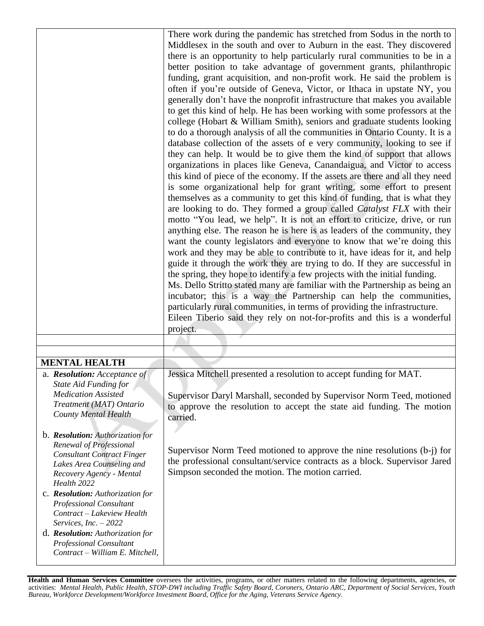|                                                                                                                                                                                                                                                | There work during the pandemic has stretched from Sodus in the north to<br>Middlesex in the south and over to Auburn in the east. They discovered<br>there is an opportunity to help particularly rural communities to be in a<br>better position to take advantage of government grants, philanthropic<br>funding, grant acquisition, and non-profit work. He said the problem is<br>often if you're outside of Geneva, Victor, or Ithaca in upstate NY, you<br>generally don't have the nonprofit infrastructure that makes you available<br>to get this kind of help. He has been working with some professors at the<br>college (Hobart & William Smith), seniors and graduate students looking<br>to do a thorough analysis of all the communities in Ontario County. It is a<br>database collection of the assets of e very community, looking to see if<br>they can help. It would be to give them the kind of support that allows<br>organizations in places like Geneva, Canandaigua, and Victor to access<br>this kind of piece of the economy. If the assets are there and all they need<br>is some organizational help for grant writing, some effort to present<br>themselves as a community to get this kind of funding, that is what they<br>are looking to do. They formed a group called Catalyst FLX with their<br>motto "You lead, we help". It is not an effort to criticize, drive, or run<br>anything else. The reason he is here is as leaders of the community, they<br>want the county legislators and everyone to know that we're doing this<br>work and they may be able to contribute to it, have ideas for it, and help<br>guide it through the work they are trying to do. If they are successful in<br>the spring, they hope to identify a few projects with the initial funding.<br>Ms. Dello Stritto stated many are familiar with the Partnership as being an<br>incubator; this is a way the Partnership can help the communities,<br>particularly rural communities, in terms of providing the infrastructure. |
|------------------------------------------------------------------------------------------------------------------------------------------------------------------------------------------------------------------------------------------------|----------------------------------------------------------------------------------------------------------------------------------------------------------------------------------------------------------------------------------------------------------------------------------------------------------------------------------------------------------------------------------------------------------------------------------------------------------------------------------------------------------------------------------------------------------------------------------------------------------------------------------------------------------------------------------------------------------------------------------------------------------------------------------------------------------------------------------------------------------------------------------------------------------------------------------------------------------------------------------------------------------------------------------------------------------------------------------------------------------------------------------------------------------------------------------------------------------------------------------------------------------------------------------------------------------------------------------------------------------------------------------------------------------------------------------------------------------------------------------------------------------------------------------------------------------------------------------------------------------------------------------------------------------------------------------------------------------------------------------------------------------------------------------------------------------------------------------------------------------------------------------------------------------------------------------------------------------------------------------------------------------------------------------------------------|
|                                                                                                                                                                                                                                                | Eileen Tiberio said they rely on not-for-profits and this is a wonderful<br>project.                                                                                                                                                                                                                                                                                                                                                                                                                                                                                                                                                                                                                                                                                                                                                                                                                                                                                                                                                                                                                                                                                                                                                                                                                                                                                                                                                                                                                                                                                                                                                                                                                                                                                                                                                                                                                                                                                                                                                               |
|                                                                                                                                                                                                                                                |                                                                                                                                                                                                                                                                                                                                                                                                                                                                                                                                                                                                                                                                                                                                                                                                                                                                                                                                                                                                                                                                                                                                                                                                                                                                                                                                                                                                                                                                                                                                                                                                                                                                                                                                                                                                                                                                                                                                                                                                                                                    |
| <b>MENTAL HEALTH</b>                                                                                                                                                                                                                           |                                                                                                                                                                                                                                                                                                                                                                                                                                                                                                                                                                                                                                                                                                                                                                                                                                                                                                                                                                                                                                                                                                                                                                                                                                                                                                                                                                                                                                                                                                                                                                                                                                                                                                                                                                                                                                                                                                                                                                                                                                                    |
| a. Resolution: Acceptance of                                                                                                                                                                                                                   | Jessica Mitchell presented a resolution to accept funding for MAT.                                                                                                                                                                                                                                                                                                                                                                                                                                                                                                                                                                                                                                                                                                                                                                                                                                                                                                                                                                                                                                                                                                                                                                                                                                                                                                                                                                                                                                                                                                                                                                                                                                                                                                                                                                                                                                                                                                                                                                                 |
| <b>State Aid Funding for</b><br><b>Medication Assisted</b><br>Treatment (MAT) Ontario<br><b>County Mental Health</b>                                                                                                                           | Supervisor Daryl Marshall, seconded by Supervisor Norm Teed, motioned<br>to approve the resolution to accept the state aid funding. The motion<br>carried.                                                                                                                                                                                                                                                                                                                                                                                                                                                                                                                                                                                                                                                                                                                                                                                                                                                                                                                                                                                                                                                                                                                                                                                                                                                                                                                                                                                                                                                                                                                                                                                                                                                                                                                                                                                                                                                                                         |
| b. Resolution: Authorization for<br>Renewal of Professional<br><b>Consultant Contract Finger</b><br>Lakes Area Counseling and<br>Recovery Agency - Mental<br>Health 2022<br>c. Resolution: Authorization for<br><b>Professional Consultant</b> | Supervisor Norm Teed motioned to approve the nine resolutions (b-j) for<br>the professional consultant/service contracts as a block. Supervisor Jared<br>Simpson seconded the motion. The motion carried.                                                                                                                                                                                                                                                                                                                                                                                                                                                                                                                                                                                                                                                                                                                                                                                                                                                                                                                                                                                                                                                                                                                                                                                                                                                                                                                                                                                                                                                                                                                                                                                                                                                                                                                                                                                                                                          |
| Contract - Lakeview Health<br>Services, $Inc. - 2022$<br>d. Resolution: Authorization for<br>Professional Consultant<br>Contract - William E. Mitchell,                                                                                        |                                                                                                                                                                                                                                                                                                                                                                                                                                                                                                                                                                                                                                                                                                                                                                                                                                                                                                                                                                                                                                                                                                                                                                                                                                                                                                                                                                                                                                                                                                                                                                                                                                                                                                                                                                                                                                                                                                                                                                                                                                                    |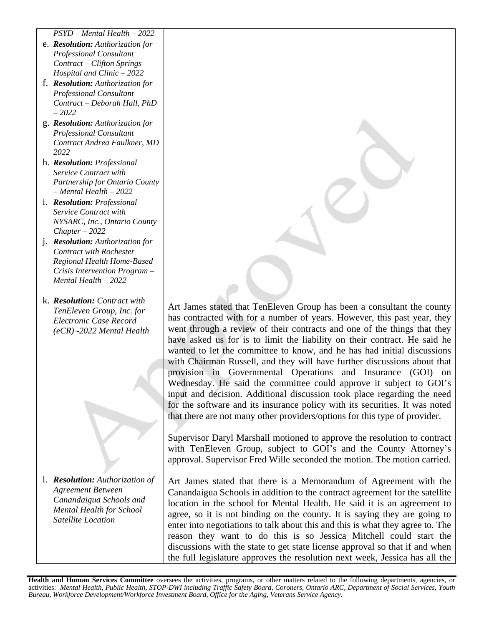*PSYD – Mental Health – 2022*

- e. *Resolution: Authorization for Professional Consultant Contract – Clifton Springs Hospital and Clinic – 2022*
- f. *Resolution: Authorization for Professional Consultant Contract – Deborah Hall, PhD – 2022*
- g. *Resolution: Authorization for Professional Consultant Contract Andrea Faulkner, MD 2022*
- h. *Resolution: Professional Service Contract with Partnership for Ontario County – Mental Health – 2022*
- i. *Resolution: Professional Service Contract with NYSARC, Inc., Ontario County Chapter – 2022*
- j. *Resolution: Authorization for Contract with Rochester Regional Health Home-Based Crisis Intervention Program – Mental Health – 2022*
- k. *Resolution: Contract with TenEleven Group, Inc. for Electronic Case Record (eCR) -2022 Mental Health*

l. *Resolution: Authorization of Agreement Between Canandaigua Schools and Mental Health for School Satellite Location*

Art James stated that TenEleven Group has been a consultant the county has contracted with for a number of years. However, this past year, they went through a review of their contracts and one of the things that they have asked us for is to limit the liability on their contract. He said he wanted to let the committee to know, and he has had initial discussions with Chairman Russell, and they will have further discussions about that provision in Governmental Operations and Insurance (GOI) on Wednesday. He said the committee could approve it subject to GOI's input and decision. Additional discussion took place regarding the need for the software and its insurance policy with its securities. It was noted that there are not many other providers/options for this type of provider.

Supervisor Daryl Marshall motioned to approve the resolution to contract with TenEleven Group, subject to GOI's and the County Attorney's approval. Supervisor Fred Wille seconded the motion. The motion carried.

Art James stated that there is a Memorandum of Agreement with the Canandaigua Schools in addition to the contract agreement for the satellite location in the school for Mental Health. He said it is an agreement to agree, so it is not binding on the county. It is saying they are going to enter into negotiations to talk about this and this is what they agree to. The reason they want to do this is so Jessica Mitchell could start the discussions with the state to get state license approval so that if and when the full legislature approves the resolution next week, Jessica has all the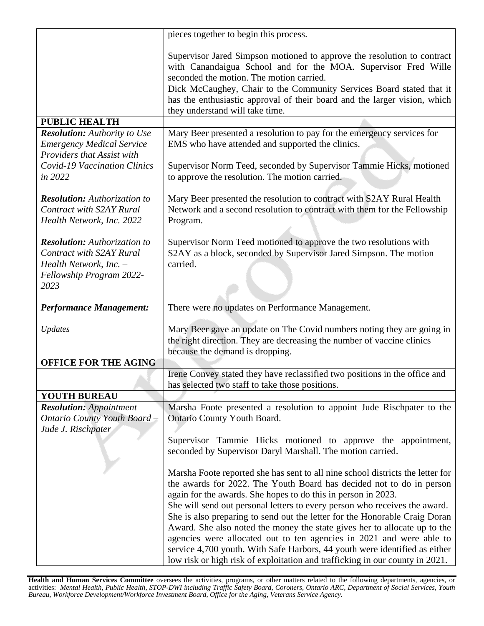|                                                                                                                                      | pieces together to begin this process.                                                                                                                                                                                                                                                                                                                                        |
|--------------------------------------------------------------------------------------------------------------------------------------|-------------------------------------------------------------------------------------------------------------------------------------------------------------------------------------------------------------------------------------------------------------------------------------------------------------------------------------------------------------------------------|
|                                                                                                                                      | Supervisor Jared Simpson motioned to approve the resolution to contract<br>with Canandaigua School and for the MOA. Supervisor Fred Wille<br>seconded the motion. The motion carried.<br>Dick McCaughey, Chair to the Community Services Board stated that it<br>has the enthusiastic approval of their board and the larger vision, which<br>they understand will take time. |
| <b>PUBLIC HEALTH</b>                                                                                                                 |                                                                                                                                                                                                                                                                                                                                                                               |
| <b>Resolution:</b> Authority to Use<br><b>Emergency Medical Service</b><br>Providers that Assist with                                | Mary Beer presented a resolution to pay for the emergency services for<br>EMS who have attended and supported the clinics.                                                                                                                                                                                                                                                    |
| Covid-19 Vaccination Clinics<br>in 2022                                                                                              | Supervisor Norm Teed, seconded by Supervisor Tammie Hicks, motioned<br>to approve the resolution. The motion carried.                                                                                                                                                                                                                                                         |
| <b>Resolution:</b> Authorization to<br><b>Contract with S2AY Rural</b><br>Health Network, Inc. 2022                                  | Mary Beer presented the resolution to contract with S2AY Rural Health<br>Network and a second resolution to contract with them for the Fellowship<br>Program.                                                                                                                                                                                                                 |
| <b>Resolution:</b> Authorization to<br><b>Contract with S2AY Rural</b><br>Health Network, Inc. -<br>Fellowship Program 2022-<br>2023 | Supervisor Norm Teed motioned to approve the two resolutions with<br>S2AY as a block, seconded by Supervisor Jared Simpson. The motion<br>carried.                                                                                                                                                                                                                            |
| <b>Performance Management:</b>                                                                                                       | There were no updates on Performance Management.                                                                                                                                                                                                                                                                                                                              |
| Updates                                                                                                                              | Mary Beer gave an update on The Covid numbers noting they are going in<br>the right direction. They are decreasing the number of vaccine clinics<br>because the demand is dropping.                                                                                                                                                                                           |
| <b>OFFICE FOR THE AGING</b>                                                                                                          |                                                                                                                                                                                                                                                                                                                                                                               |
|                                                                                                                                      | Irene Convey stated they have reclassified two positions in the office and<br>has selected two staff to take those positions.                                                                                                                                                                                                                                                 |
| <b>YOUTH BUREAU</b>                                                                                                                  |                                                                                                                                                                                                                                                                                                                                                                               |
| <b>Resolution:</b> Appointment $-$                                                                                                   | Marsha Foote presented a resolution to appoint Jude Rischpater to the                                                                                                                                                                                                                                                                                                         |
| <b>Ontario County Youth Board</b>                                                                                                    | Ontario County Youth Board.                                                                                                                                                                                                                                                                                                                                                   |
| Jude J. Rischpater                                                                                                                   |                                                                                                                                                                                                                                                                                                                                                                               |
|                                                                                                                                      | Supervisor Tammie Hicks motioned to approve the appointment,<br>seconded by Supervisor Daryl Marshall. The motion carried.                                                                                                                                                                                                                                                    |
|                                                                                                                                      | Marsha Foote reported she has sent to all nine school districts the letter for                                                                                                                                                                                                                                                                                                |
|                                                                                                                                      | the awards for 2022. The Youth Board has decided not to do in person                                                                                                                                                                                                                                                                                                          |
|                                                                                                                                      | again for the awards. She hopes to do this in person in 2023.                                                                                                                                                                                                                                                                                                                 |
|                                                                                                                                      | She will send out personal letters to every person who receives the award.                                                                                                                                                                                                                                                                                                    |
|                                                                                                                                      | She is also preparing to send out the letter for the Honorable Craig Doran<br>Award. She also noted the money the state gives her to allocate up to the                                                                                                                                                                                                                       |
|                                                                                                                                      | agencies were allocated out to ten agencies in 2021 and were able to                                                                                                                                                                                                                                                                                                          |
|                                                                                                                                      | service 4,700 youth. With Safe Harbors, 44 youth were identified as either<br>low risk or high risk of exploitation and trafficking in our county in 2021.                                                                                                                                                                                                                    |